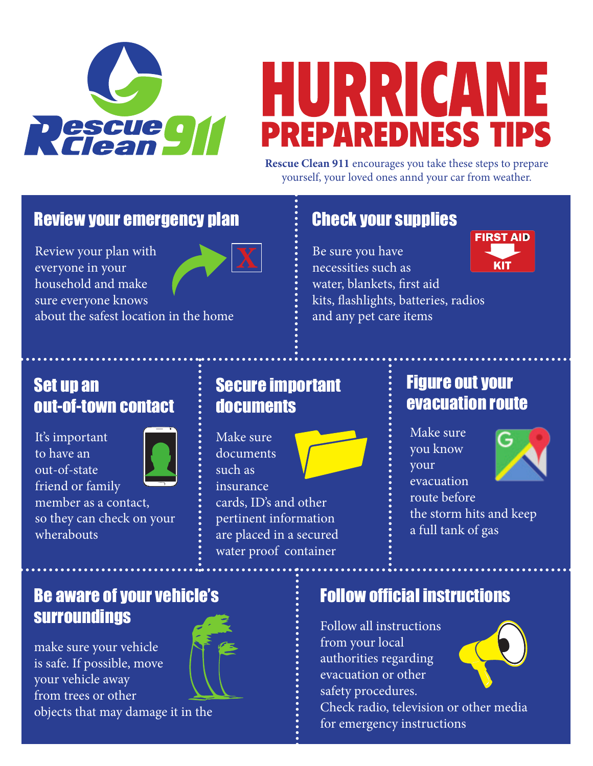

# HURRICANE **PREPAREDNESS TIPS**

**Rescue Clean 911** encourages you take these steps to prepare yourself, your loved ones annd your car from weather.

> Be sure you have necessities such as

water, blankets, first aid

and any pet care items

kits, flashlights, batteries, radios

### Review your emergency plan  $\qquad \qquad \vdots \qquad$  Check your supplies

Review your plan with everyone in your household and make sure everyone knows about the safest location in the home

### Set up an out-of-town contact

It's important to have an out-of-state friend or family member as a contact, so they can check on your wherabouts



### Secure important documents

Make sure documents such as insurance



cards, ID's and other pertinent information are placed in a secured water proof container

### Figure out your evacuation route

Make sure you know your evacuation route before the storm hits and keep a full tank of gas



### Be aware of your vehicle's surroundings

make sure your vehicle is safe. If possible, move your vehicle away from trees or other objects that may damage it in the



# Follow official instructions

Follow all instructions from your local authorities regarding evacuation or other safety procedures.

Check radio, television or other media for emergency instructions